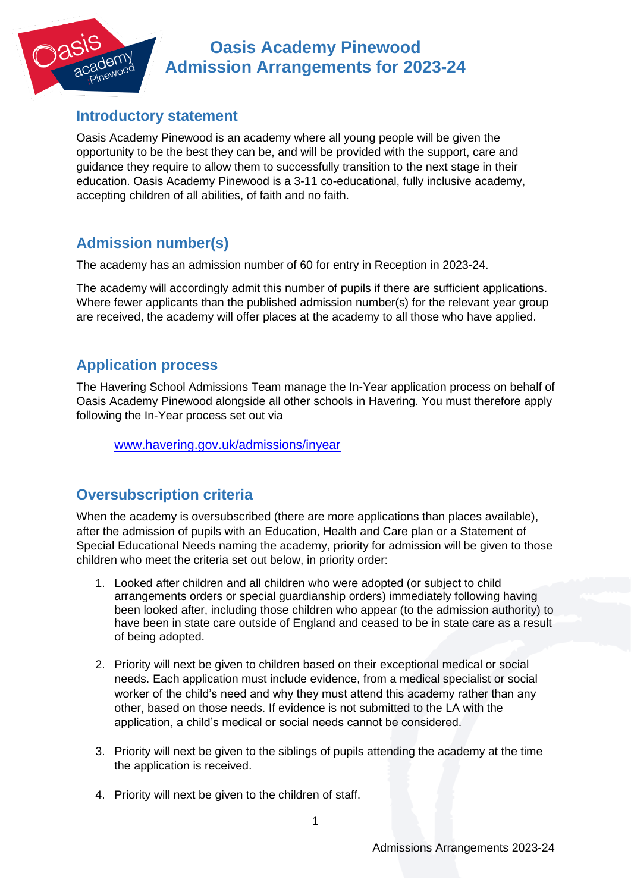# **Oasis Academy Pinewood Admission Arrangements for 2023-24**

#### **Introductory statement**

Oasis Academy Pinewood is an academy where all young people will be given the opportunity to be the best they can be, and will be provided with the support, care and guidance they require to allow them to successfully transition to the next stage in their education. Oasis Academy Pinewood is a 3-11 co-educational, fully inclusive academy, accepting children of all abilities, of faith and no faith.

# **Admission number(s)**

The academy has an admission number of 60 for entry in Reception in 2023-24.

The academy will accordingly admit this number of pupils if there are sufficient applications. Where fewer applicants than the published admission number(s) for the relevant year group are received, the academy will offer places at the academy to all those who have applied.

### **Application process**

The Havering School Admissions Team manage the In-Year application process on behalf of Oasis Academy Pinewood alongside all other schools in Havering. You must therefore apply following the In-Year process set out via

[www.havering.gov.uk/admissions/inyear](http://www.havering.gov.uk/admissions/inyear)

# **Oversubscription criteria**

When the academy is oversubscribed (there are more applications than places available), after the admission of pupils with an Education, Health and Care plan or a Statement of Special Educational Needs naming the academy, priority for admission will be given to those children who meet the criteria set out below, in priority order:

- 1. Looked after children and all children who were adopted (or subject to child arrangements orders or special guardianship orders) immediately following having been looked after, including those children who appear (to the admission authority) to have been in state care outside of England and ceased to be in state care as a result of being adopted.
- 2. Priority will next be given to children based on their exceptional medical or social needs. Each application must include evidence, from a medical specialist or social worker of the child's need and why they must attend this academy rather than any other, based on those needs. If evidence is not submitted to the LA with the application, a child's medical or social needs cannot be considered.
- 3. Priority will next be given to the siblings of pupils attending the academy at the time the application is received.
- 4. Priority will next be given to the children of staff.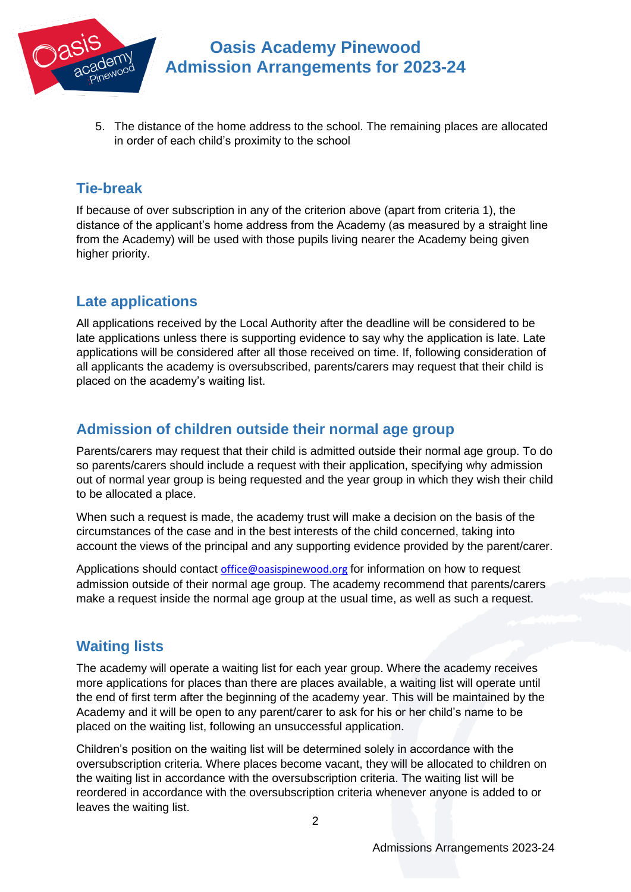

5. The distance of the home address to the school. The remaining places are allocated in order of each child's proximity to the school

# **Tie-break**

If because of over subscription in any of the criterion above (apart from criteria 1), the distance of the applicant's home address from the Academy (as measured by a straight line from the Academy) will be used with those pupils living nearer the Academy being given higher priority.

# **Late applications**

All applications received by the Local Authority after the deadline will be considered to be late applications unless there is supporting evidence to say why the application is late. Late applications will be considered after all those received on time. If, following consideration of all applicants the academy is oversubscribed, parents/carers may request that their child is placed on the academy's waiting list.

### **Admission of children outside their normal age group**

Parents/carers may request that their child is admitted outside their normal age group. To do so parents/carers should include a request with their application, specifying why admission out of normal year group is being requested and the year group in which they wish their child to be allocated a place.

When such a request is made, the academy trust will make a decision on the basis of the circumstances of the case and in the best interests of the child concerned, taking into account the views of the principal and any supporting evidence provided by the parent/carer.

Applications should contact [office@oasispinewood.org](mailto:office@oasispinewood.org) for information on how to request admission outside of their normal age group. The academy recommend that parents/carers make a request inside the normal age group at the usual time, as well as such a request.

# **Waiting lists**

The academy will operate a waiting list for each year group. Where the academy receives more applications for places than there are places available, a waiting list will operate until the end of first term after the beginning of the academy year. This will be maintained by the Academy and it will be open to any parent/carer to ask for his or her child's name to be placed on the waiting list, following an unsuccessful application.

Children's position on the waiting list will be determined solely in accordance with the oversubscription criteria. Where places become vacant, they will be allocated to children on the waiting list in accordance with the oversubscription criteria. The waiting list will be reordered in accordance with the oversubscription criteria whenever anyone is added to or leaves the waiting list.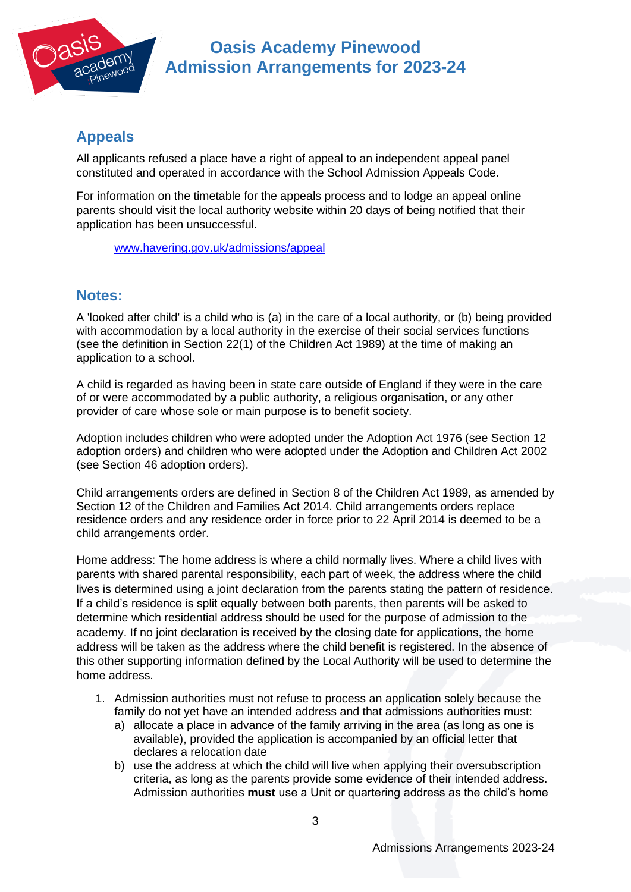

# **Oasis Academy Pinewood Admission Arrangements for 2023-24**

#### **Appeals**

All applicants refused a place have a right of appeal to an independent appeal panel constituted and operated in accordance with the School Admission Appeals Code.

For information on the timetable for the appeals process and to lodge an appeal online parents should visit the local authority website within 20 days of being notified that their application has been unsuccessful.

[www.havering.gov.uk/admissions/appeal](http://www.havering.gov.uk/admissions/appeal)

#### **Notes:**

A 'looked after child' is a child who is (a) in the care of a local authority, or (b) being provided with accommodation by a local authority in the exercise of their social services functions (see the definition in Section 22(1) of the Children Act 1989) at the time of making an application to a school.

A child is regarded as having been in state care outside of England if they were in the care of or were accommodated by a public authority, a religious organisation, or any other provider of care whose sole or main purpose is to benefit society.

Adoption includes children who were adopted under the Adoption Act 1976 (see Section 12 adoption orders) and children who were adopted under the Adoption and Children Act 2002 (see Section 46 adoption orders).

Child arrangements orders are defined in Section 8 of the Children Act 1989, as amended by Section 12 of the Children and Families Act 2014. Child arrangements orders replace residence orders and any residence order in force prior to 22 April 2014 is deemed to be a child arrangements order.

Home address: The home address is where a child normally lives. Where a child lives with parents with shared parental responsibility, each part of week, the address where the child lives is determined using a joint declaration from the parents stating the pattern of residence. If a child's residence is split equally between both parents, then parents will be asked to determine which residential address should be used for the purpose of admission to the academy. If no joint declaration is received by the closing date for applications, the home address will be taken as the address where the child benefit is registered. In the absence of this other supporting information defined by the Local Authority will be used to determine the home address.

- 1. Admission authorities must not refuse to process an application solely because the family do not yet have an intended address and that admissions authorities must:
	- a) allocate a place in advance of the family arriving in the area (as long as one is available), provided the application is accompanied by an official letter that declares a relocation date
	- b) use the address at which the child will live when applying their oversubscription criteria, as long as the parents provide some evidence of their intended address. Admission authorities **must** use a Unit or quartering address as the child's home